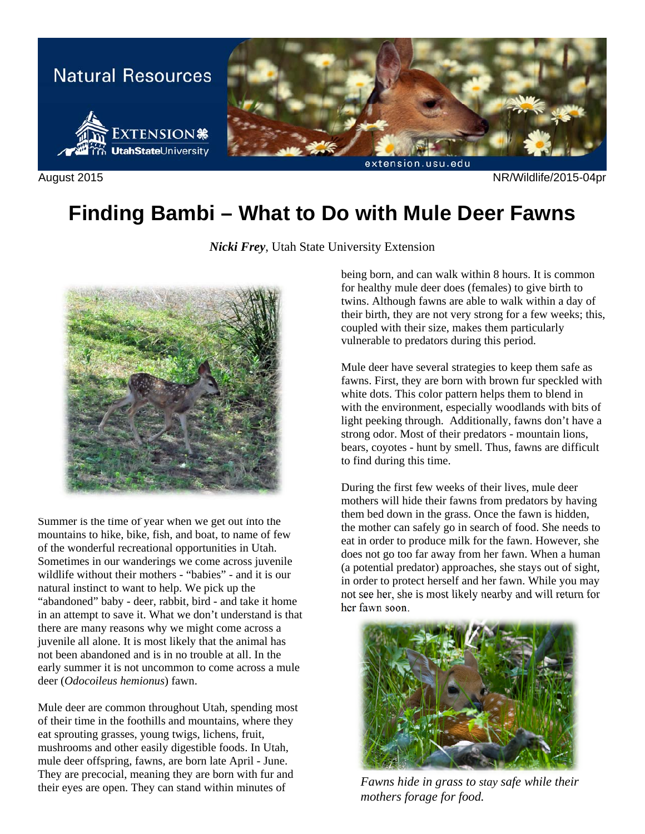

August 2015 NR/Wildlife/2015-04pr

## **Finding Bambi – What to Do with Mule Deer Fawns**

*Nicki Frey*, Utah State University Extension



Summer is the time of year when we get out into the mountains to hike, bike, fish, and boat, to name of few of the wonderful recreational opportunities in Utah. Sometimes in our wanderings we come across juvenile wildlife without their mothers - "babies" - and it is our natural instinct to want to help. We pick up the "abandoned" baby - deer, rabbit, bird - and take it home in an attempt to save it. What we don't understand is that there are many reasons why we might come across a juvenile all alone. It is most likely that the animal has not been abandoned and is in no trouble at all. In the early summer it is not uncommon to come across a mule deer (*Odocoileus hemionus*) fawn.

Mule deer are common throughout Utah, spending most of their time in the foothills and mountains, where they eat sprouting grasses, young twigs, lichens, fruit, mushrooms and other easily digestible foods. In Utah, mule deer offspring, fawns, are born late April - June. They are precocial, meaning they are born with fur and their eyes are open. They can stand within minutes of

being born, and can walk within 8 hours. It is common for healthy mule deer does (females) to give birth to twins. Although fawns are able to walk within a day of their birth, they are not very strong for a few weeks; this, coupled with their size, makes them particularly vulnerable to predators during this period.

Mule deer have several strategies to keep them safe as fawns. First, they are born with brown fur speckled with white dots. This color pattern helps them to blend in with the environment, especially woodlands with bits of light peeking through. Additionally, fawns don't have a strong odor. Most of their predators - mountain lions, bears, coyotes - hunt by smell. Thus, fawns are difficult to find during this time.

During the first few weeks of their lives, mule deer mothers will hide their fawns from predators by having them bed down in the grass. Once the fawn is hidden, the mother can safely go in search of food. She needs to eat in order to produce milk for the fawn. However, she does not go too far away from her fawn. When a human (a potential predator) approaches, she stays out of sight, in order to protect herself and her fawn. While you may not see her, she is most likely nearby and will return for her fawn soon.



*Fawns hide in grass to stay safe while their mothers forage for food.*